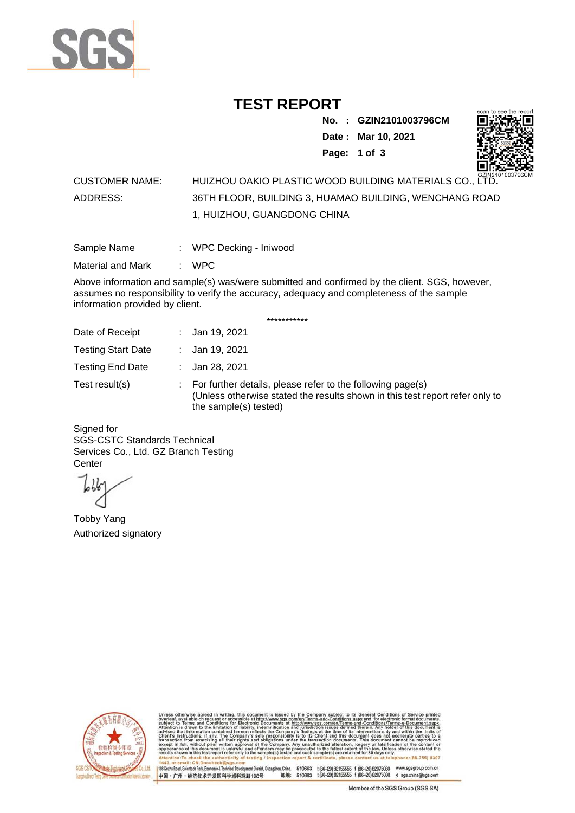

## **TEST REPORT**

**No. : GZIN2101003796CM Date : Mar 10, 2021 Page: 1 of 3** 



### CUSTOMER NAME: HUIZHOU OAKIO PLASTIC WOOD BUILDING MATERIALS CO., LTD. ADDRESS: 36TH FLOOR, BUILDING 3, HUAMAO BUILDING, WENCHANG ROAD 1, HUIZHOU, GUANGDONG CHINA

| Sample Name | WPC Decking - Iniwood |  |
|-------------|-----------------------|--|
|             |                       |  |

Material and Mark : WPC

Above information and sample(s) was/were submitted and confirmed by the client. SGS, however, assumes no responsibility to verify the accuracy, adequacy and completeness of the sample information provided by client.

\*\*\*\*\*\*\*\*\*\*\*

| Date of Receipt           | : Jan 19, 2021                                                                                                                                                        |
|---------------------------|-----------------------------------------------------------------------------------------------------------------------------------------------------------------------|
| <b>Testing Start Date</b> | : Jan 19, 2021                                                                                                                                                        |
| <b>Testing End Date</b>   | : Jan 28, 2021                                                                                                                                                        |
| Test result(s)            | : For further details, please refer to the following page(s)<br>(Unless otherwise stated the results shown in this test report refer only to<br>the sample(s) tested) |

Signed for SGS-CSTC Standards Technical Services Co., Ltd. GZ Branch Testing **Center** 

Tobby Yang Authorized signatory



510663 t(86-20) 82155555 f (86-20) 82075080 www.sgsgroup.com.cn<br>510663 t(86-20) 82155555 f (86-20) 82075080 e sgs.china@sgs.com 198 Kezhu Road, Scientech Park, Economic & Technical Devel gzhou, China. ant District G 邮编: 中国·广州·经济技术开发区科学城科珠路198号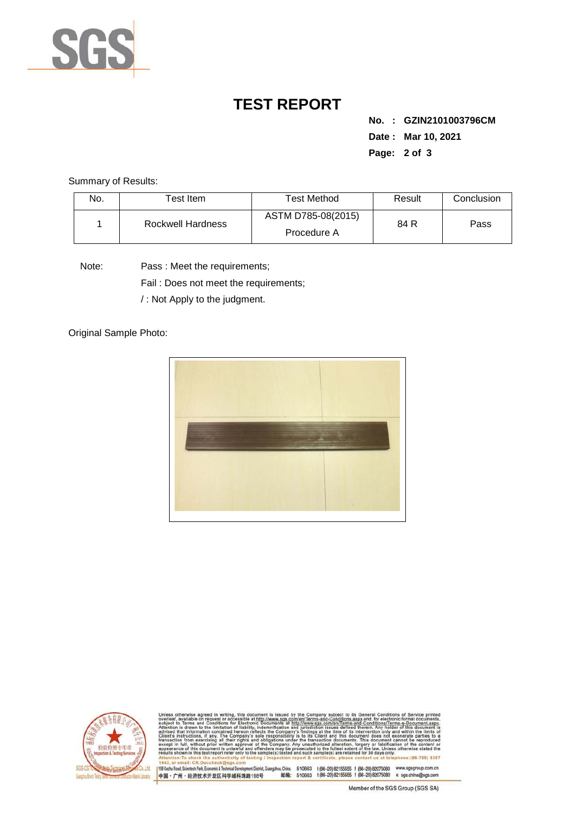

# **TEST REPORT**

**No. : GZIN2101003796CM Date : Mar 10, 2021 Page: 2 of 3** 

Summary of Results:

| No. | Test Item.        | Test Method                       | Result | Conclusion |
|-----|-------------------|-----------------------------------|--------|------------|
|     | Rockwell Hardness | ASTM D785-08(2015)<br>Procedure A | 84 R   | Pass       |

Note: Pass : Meet the requirements;

Fail : Does not meet the requirements;

/ : Not Apply to the judgment.

Original Sample Photo:





and-Conditions/Terms-e-Docu»<br>ad therein. Any holder of this d 8307